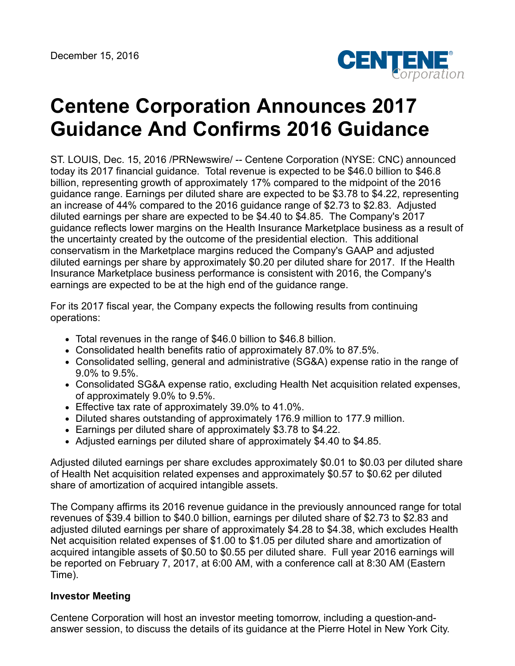

# **Centene Corporation Announces 2017 Guidance And Confirms 2016 Guidance**

ST. LOUIS, Dec. 15, 2016 /PRNewswire/ -- Centene Corporation (NYSE: CNC) announced today its 2017 financial guidance. Total revenue is expected to be \$46.0 billion to \$46.8 billion, representing growth of approximately 17% compared to the midpoint of the 2016 guidance range. Earnings per diluted share are expected to be \$3.78 to \$4.22, representing an increase of 44% compared to the 2016 guidance range of \$2.73 to \$2.83. Adjusted diluted earnings per share are expected to be \$4.40 to \$4.85. The Company's 2017 guidance reflects lower margins on the Health Insurance Marketplace business as a result of the uncertainty created by the outcome of the presidential election. This additional conservatism in the Marketplace margins reduced the Company's GAAP and adjusted diluted earnings per share by approximately \$0.20 per diluted share for 2017. If the Health Insurance Marketplace business performance is consistent with 2016, the Company's earnings are expected to be at the high end of the guidance range.

For its 2017 fiscal year, the Company expects the following results from continuing operations:

- Total revenues in the range of \$46.0 billion to \$46.8 billion.
- Consolidated health benefits ratio of approximately 87.0% to 87.5%.
- Consolidated selling, general and administrative (SG&A) expense ratio in the range of 9.0% to 9.5%.
- Consolidated SG&A expense ratio, excluding Health Net acquisition related expenses, of approximately 9.0% to 9.5%.
- Effective tax rate of approximately 39.0% to 41.0%.
- Diluted shares outstanding of approximately 176.9 million to 177.9 million.
- Earnings per diluted share of approximately \$3.78 to \$4.22.
- Adjusted earnings per diluted share of approximately \$4.40 to \$4.85.

Adjusted diluted earnings per share excludes approximately \$0.01 to \$0.03 per diluted share of Health Net acquisition related expenses and approximately \$0.57 to \$0.62 per diluted share of amortization of acquired intangible assets.

The Company affirms its 2016 revenue guidance in the previously announced range for total revenues of \$39.4 billion to \$40.0 billion, earnings per diluted share of \$2.73 to \$2.83 and adjusted diluted earnings per share of approximately \$4.28 to \$4.38, which excludes Health Net acquisition related expenses of \$1.00 to \$1.05 per diluted share and amortization of acquired intangible assets of \$0.50 to \$0.55 per diluted share. Full year 2016 earnings will be reported on February 7, 2017, at 6:00 AM, with a conference call at 8:30 AM (Eastern Time).

#### **Investor Meeting**

Centene Corporation will host an investor meeting tomorrow, including a question-andanswer session, to discuss the details of its guidance at the Pierre Hotel in New York City.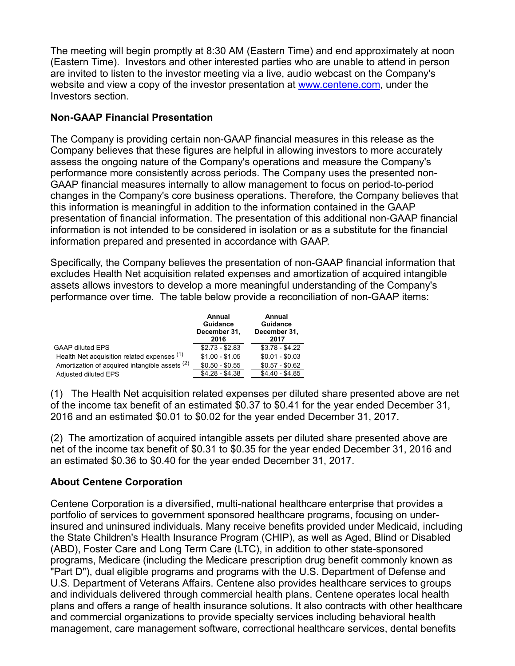The meeting will begin promptly at 8:30 AM (Eastern Time) and end approximately at noon (Eastern Time). Investors and other interested parties who are unable to attend in person are invited to listen to the investor meeting via a live, audio webcast on the Company's website and view a copy of the investor presentation at [www.centene.com](http://www.centene.com/), under the Investors section.

## **Non-GAAP Financial Presentation**

The Company is providing certain non-GAAP financial measures in this release as the Company believes that these figures are helpful in allowing investors to more accurately assess the ongoing nature of the Company's operations and measure the Company's performance more consistently across periods. The Company uses the presented non-GAAP financial measures internally to allow management to focus on period-to-period changes in the Company's core business operations. Therefore, the Company believes that this information is meaningful in addition to the information contained in the GAAP presentation of financial information. The presentation of this additional non-GAAP financial information is not intended to be considered in isolation or as a substitute for the financial information prepared and presented in accordance with GAAP.

Specifically, the Company believes the presentation of non-GAAP financial information that excludes Health Net acquisition related expenses and amortization of acquired intangible assets allows investors to develop a more meaningful understanding of the Company's performance over time. The table below provide a reconciliation of non-GAAP items:

|                                                | Annual<br><b>Guidance</b><br>December 31,<br>2016 | Annual<br><b>Guidance</b><br>December 31,<br>2017 |
|------------------------------------------------|---------------------------------------------------|---------------------------------------------------|
| <b>GAAP diluted EPS</b>                        | $$2.73 - $2.83$                                   | $$3.78 - $4.22$                                   |
| Health Net acquisition related expenses (1)    | $$1.00 - $1.05$                                   | $$0.01 - $0.03$                                   |
| Amortization of acquired intangible assets (2) | $$0.50 - $0.55$                                   | $$0.57 - $0.62$                                   |
| Adjusted diluted EPS                           | $$4.28 - $4.38$                                   | $$4.40 - $4.85$                                   |

(1) The Health Net acquisition related expenses per diluted share presented above are net of the income tax benefit of an estimated \$0.37 to \$0.41 for the year ended December 31, 2016 and an estimated \$0.01 to \$0.02 for the year ended December 31, 2017.

(2) The amortization of acquired intangible assets per diluted share presented above are net of the income tax benefit of \$0.31 to \$0.35 for the year ended December 31, 2016 and an estimated \$0.36 to \$0.40 for the year ended December 31, 2017.

## **About Centene Corporation**

Centene Corporation is a diversified, multi-national healthcare enterprise that provides a portfolio of services to government sponsored healthcare programs, focusing on underinsured and uninsured individuals. Many receive benefits provided under Medicaid, including the State Children's Health Insurance Program (CHIP), as well as Aged, Blind or Disabled (ABD), Foster Care and Long Term Care (LTC), in addition to other state-sponsored programs, Medicare (including the Medicare prescription drug benefit commonly known as "Part D"), dual eligible programs and programs with the U.S. Department of Defense and U.S. Department of Veterans Affairs. Centene also provides healthcare services to groups and individuals delivered through commercial health plans. Centene operates local health plans and offers a range of health insurance solutions. It also contracts with other healthcare and commercial organizations to provide specialty services including behavioral health management, care management software, correctional healthcare services, dental benefits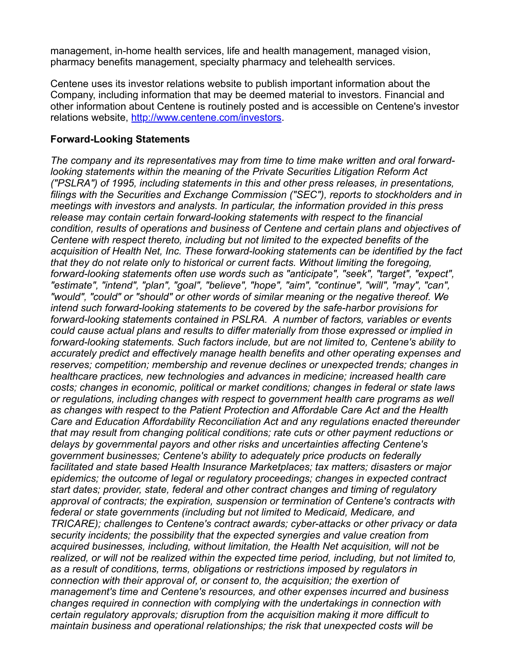management, in-home health services, life and health management, managed vision, pharmacy benefits management, specialty pharmacy and telehealth services.

Centene uses its investor relations website to publish important information about the Company, including information that may be deemed material to investors. Financial and other information about Centene is routinely posted and is accessible on Centene's investor relations website, <http://www.centene.com/investors>.

#### **Forward-Looking Statements**

*The company and its representatives may from time to time make written and oral forwardlooking statements within the meaning of the Private Securities Litigation Reform Act ("PSLRA") of 1995, including statements in this and other press releases, in presentations, filings with the Securities and Exchange Commission ("SEC"), reports to stockholders and in meetings with investors and analysts. In particular, the information provided in this press release may contain certain forward-looking statements with respect to the financial condition, results of operations and business of Centene and certain plans and objectives of Centene with respect thereto, including but not limited to the expected benefits of the acquisition of Health Net, Inc. These forward-looking statements can be identified by the fact that they do not relate only to historical or current facts. Without limiting the foregoing, forward-looking statements often use words such as "anticipate", "seek", "target", "expect", "estimate", "intend", "plan", "goal", "believe", "hope", "aim", "continue", "will", "may", "can", "would", "could" or "should" or other words of similar meaning or the negative thereof. We intend such forward-looking statements to be covered by the safe-harbor provisions for forward-looking statements contained in PSLRA. A number of factors, variables or events could cause actual plans and results to differ materially from those expressed or implied in forward-looking statements. Such factors include, but are not limited to, Centene's ability to accurately predict and effectively manage health benefits and other operating expenses and reserves; competition; membership and revenue declines or unexpected trends; changes in healthcare practices, new technologies and advances in medicine; increased health care costs; changes in economic, political or market conditions; changes in federal or state laws or regulations, including changes with respect to government health care programs as well as changes with respect to the Patient Protection and Affordable Care Act and the Health Care and Education Affordability Reconciliation Act and any regulations enacted thereunder that may result from changing political conditions; rate cuts or other payment reductions or delays by governmental payors and other risks and uncertainties affecting Centene's government businesses; Centene's ability to adequately price products on federally facilitated and state based Health Insurance Marketplaces; tax matters; disasters or major epidemics; the outcome of legal or regulatory proceedings; changes in expected contract start dates; provider, state, federal and other contract changes and timing of regulatory approval of contracts; the expiration, suspension or termination of Centene's contracts with federal or state governments (including but not limited to Medicaid, Medicare, and TRICARE); challenges to Centene's contract awards; cyber-attacks or other privacy or data security incidents; the possibility that the expected synergies and value creation from acquired businesses, including, without limitation, the Health Net acquisition, will not be realized, or will not be realized within the expected time period, including, but not limited to, as a result of conditions, terms, obligations or restrictions imposed by regulators in connection with their approval of, or consent to, the acquisition; the exertion of management's time and Centene's resources, and other expenses incurred and business changes required in connection with complying with the undertakings in connection with certain regulatory approvals; disruption from the acquisition making it more difficult to maintain business and operational relationships; the risk that unexpected costs will be*